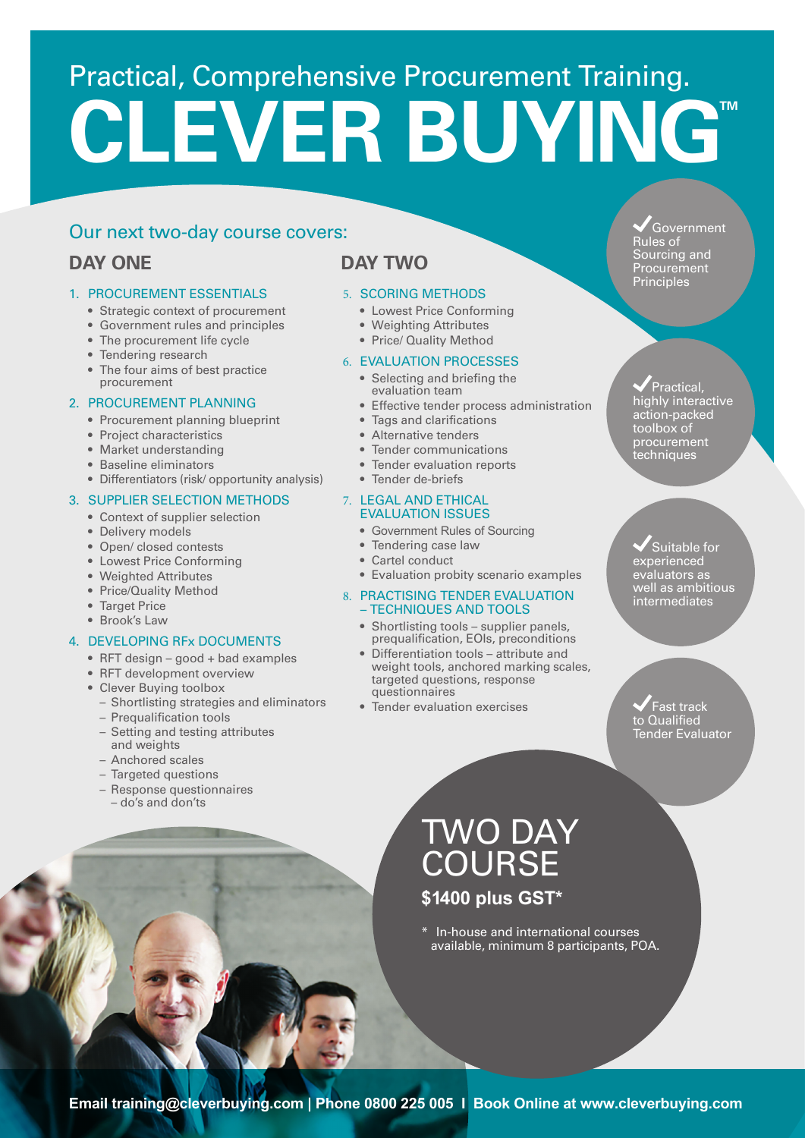# Practical, Comprehensive Procurement Training. **CLEVER BUYINGT**

### Our next two-day course covers:

# **DAY ONE**

#### 1. PROCUREMENT ESSENTIALS

- Strategic context of procurement
- Government rules and principles
- The procurement life cycle
- Tendering research
- The four aims of best practice procurement

#### 2. PROCUREMENT PLANNING

- Procurement planning blueprint
- Project characteristics
- Market understanding
- Baseline eliminators
- Differentiators (risk/ opportunity analysis)

#### 3. SUPPLIER SELECTION METHODS

- Context of supplier selection
- Delivery models
- Open/ closed contests
- Lowest Price Conforming
- Weighted Attributes
- Price/Quality Method
- Target Price
- Brook's Law

#### 4. DEVELOPING RFx DOCUMENTS

- RFT design good + bad examples
- RFT development overview
- Clever Buying toolbox
	- Shortlisting strategies and eliminators
	- Prequalification tools
	- Setting and testing attributes and weights
	- Anchored scales
	- Targeted questions
	- Response questionnaires – do's and don'ts

# **DAY TWO**

#### 5. SCORING METHODS

- Lowest Price Conforming
- Weighting Attributes
- Price/ Quality Method

#### 6. EVALUATION PROCESSES

- Selecting and briefing the evaluation team
- Effective tender process administration
- Tags and clarifications
- Alternative tenders
- Tender communications
- Tender evaluation reports
- Tender de-briefs

#### 7. LEGAL AND ETHICAL EVALUATION ISSUES

- Government Rules of Sourcing
- Tendering case law
- Cartel conduct
- Evaluation probity scenario examples

#### 8. PRACTISING TENDER EVALUATION – TECHNIQUES AND TOOLS

- Shortlisting tools supplier panels, prequalification, EOIs, preconditions
- Differentiation tools attribute and weight tools, anchored marking scales, targeted questions, response questionnaires
- Tender evaluation exercises

Government Rules of Sourcing and Procurement Principles

Practical, highly interactive action-packed toolbox of procurement techniques

Suitable for experienced evaluators as well as ambitious intermediates

Fast track to Qualified Tender Evaluator

# TWO DAY COURSE **\$1400 plus GST\***

\* In-house and international courses available, minimum 8 participants, POA.